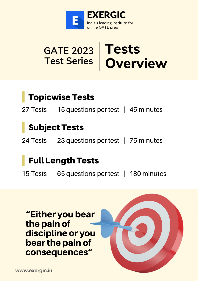

#### **GATE 2023 Test Series Tests Overview**

### Topicwise Tests

27 Tests | 15 questions per test | 45 minutes

## Subject Tests

24 Tests | 23 questions per test | 75 minutes

#### Full Length Tests

15 Tests | 65 questions per test | 180 minutes

"Either you bear the pain of discipline or you bearthe pain of consequences"

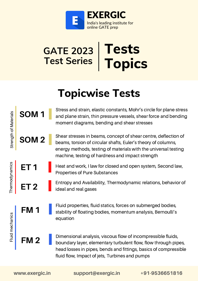

#### **GATE 2023 Test Series Tests Topics**

# **Topicwise Tests**

Stress and strain, elastic constants, Mohr's circle for plane stress and plane strain, thin pressure vessels, shear force and bending moment diagrams, bending and shear stresses

Shear stresses in beams, concept of shear centre, deflection of beams, torsion of circular shafts, Euler's theory of columns, energy methods, testing of materials with the universal testing machine, testing of hardness and impact strength **SOM 2**

> Heat and work, I law for closed and open system, Second law, Properties of Pure Substances

Entropy and Availability, Thermodynamic relations, behavior of **ET 2** ideal and real gases

> Fluid properties, fluid statics, forces on submerged bodies, stability of floating bodies, momentum analysis, Bernoulli's equation

**FM 2**

**FM 1**

**SOM 1**

**ET 1**

Stre ngth

Thermodynamics<br>Exercises

 $\frac{1}{2}$ 

mechanic s

 $\frac{5}{5}$   $\mid$ 

aterials

Dimensional analysis, viscous flow of incompressible fluids, boundary layer, elementary turbulent flow, flow through pipes, head losses in pipes, bends and fittings, basics of compressible fluid flow, Impact of jets, Turbines and pumps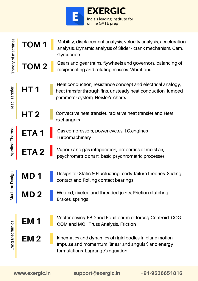

| Theory of machines | TOM <sub>1</sub> | Mobility, displacement analysis, velocity analysis, acceleration<br>analysis, Dynamic analysis of Slider - crank mechanism, Cam,<br>Gyroscope                     |
|--------------------|------------------|-------------------------------------------------------------------------------------------------------------------------------------------------------------------|
|                    | <b>TOM2</b>      | Gears and gear trains, flywheels and governors, balancing of<br>reciprocating and rotating masses, Vibrations                                                     |
| Heat Transfer      | HT <sub>1</sub>  | Heat conduction, resistance concept and electrical analogy,<br>heat transfer through fins, unsteady heat conduction, lumped<br>parameter system, Heisler's charts |
|                    | HT <sub>2</sub>  | Convective heat transfer, radiative heat transfer and Heat<br>exchangers                                                                                          |
| Applied Thermo     | ETA <sub>1</sub> | Gas compressors, power cycles, I.C. engines,<br>Turbomachinery                                                                                                    |
|                    | ETA <sub>2</sub> | Vapour and gas refrigeration, properties of moist air,<br>psychrometric chart, basic psychrometric processes                                                      |
| Design<br>Machine  | MD               | Design for Static & Fluctuating loads, failure theories, Sliding<br>contact and Rolling contact bearings                                                          |
|                    | <b>MD2</b>       | Welded, riveted and threaded joints, Friction clutches,<br>Brakes, springs                                                                                        |
| Engg Mechanics     | EM <sub>1</sub>  | Vector basics, FBD and Equilibrium of forces, Centroid, COG,<br>COM and MOI, Truss Analysis, Friction                                                             |
|                    | EM <sub>2</sub>  | kinematics and dynamics of rigid bodies in plane motion,<br>impulse and momentum (linear and angular) and energy<br>formulations, Lagrange's equation             |

Heat Tra nsfer

Applie d

Machin eDesig n

EnggMechanics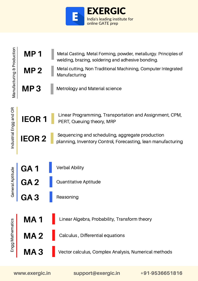

**MP 1** Metal Casting, Metal Forming, powder, metallurgy. Principles of welding, brazing, soldering and adhesive bonding.

Manufacturing

Metal cutting, Non Traditional Machining, Computer Integrated **M**

**P 2**

| Manufa                                  | MP <sub>3</sub> | <b>Metrology and Material science</b>                                                                           |                |
|-----------------------------------------|-----------------|-----------------------------------------------------------------------------------------------------------------|----------------|
| 5                                       | <b>IEOR1</b>    | Linear Programming, Transportation and Assignment, CPM,<br>PERT, Queuing theory, MRP                            |                |
| Industrial Engg and<br>General Aptitude | <b>IEOR2</b>    | Sequencing and scheduling, aggregate production<br>planning, Inventory Control, Forecasting, lean manufacturing |                |
|                                         | GA <sub>1</sub> | <b>Verbal Ability</b>                                                                                           |                |
|                                         | GA <sub>2</sub> | Quantitative Aptitude                                                                                           |                |
| hematics                                | GA <sub>3</sub> | Reasoning                                                                                                       |                |
|                                         | <b>MA1</b>      | Linear Algebra, Probability, Transform theory                                                                   |                |
|                                         | <b>MA2</b>      | Calculus, Differential equations                                                                                |                |
| Engg Mat                                | <b>MA3</b>      | Vector calculus, Complex Analysis, Numerical methods                                                            |                |
|                                         | www.exergic.in  | support@exergic.in                                                                                              | +91-9536651816 |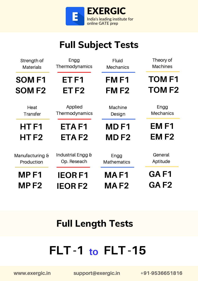

## **Full Subject Tests**

| Strength of      | Engg              | <b>Fluid</b>       | Theory of        |
|------------------|-------------------|--------------------|------------------|
| <b>Materials</b> | Thermodynamics    | <b>Mechanics</b>   | <b>Machines</b>  |
| <b>SOMF1</b>     | ET <sub>F1</sub>  | FM <sub>F1</sub>   | <b>TOMF1</b>     |
| <b>SOMF2</b>     | ET <sub>F2</sub>  | <b>FMF2</b>        | <b>TOMF2</b>     |
| Heat             | Applied           | Machine            | Engg             |
| Transfer         | Thermodynamics    | Design             | <b>Mechanics</b> |
| HTF1             | ETA <sub>F1</sub> | <b>MDF1</b>        | EM <sub>F1</sub> |
| HTF <sub>2</sub> | ETA <sub>F2</sub> | <b>MDF2</b>        | EM <sub>F2</sub> |
| Manufacturing &  | Industrial Engg & | Engg               | General          |
| Production       | Op. Reseach       | <b>Mathematics</b> | Aptitude         |
| MP <sub>F1</sub> | <b>IEORF1</b>     | <b>MAF1</b>        | GAF1             |
| MPF <sub>2</sub> | <b>IEORF2</b>     | MAF <sub>2</sub>   | GAF <sub>2</sub> |

## **Full Length Tests**

# **FLT -1 to FLT -15**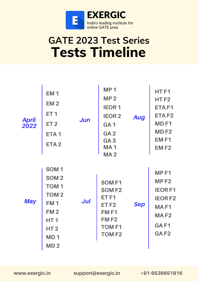

# **GATE 2023 Test Series Tests Timeline**

| <b>April</b><br>2022 | <b>EM1</b><br><b>EM2</b><br><b>ET1</b><br>ET <sub>2</sub><br>ETA <sub>1</sub><br>ETA <sub>2</sub>                                                                          | <b>Jun</b> | <b>MP1</b><br>MP <sub>2</sub><br><b>IEOR1</b><br><b>IEOR2</b><br>GA <sub>1</sub><br>GA <sub>2</sub><br>GA <sub>3</sub><br><b>MA1</b><br><b>MA2</b> | <b>Aug</b> | HT <sub>F1</sub><br>HT <sub>F2</sub><br>ETA <sub>F1</sub><br>ETA <sub>F2</sub><br>MD <sub>F1</sub><br>MD <sub>F2</sub><br>EM <sub>F1</sub><br><b>EMF2</b> |
|----------------------|----------------------------------------------------------------------------------------------------------------------------------------------------------------------------|------------|----------------------------------------------------------------------------------------------------------------------------------------------------|------------|-----------------------------------------------------------------------------------------------------------------------------------------------------------|
| <b>May</b>           | SOM <sub>1</sub><br>SOM <sub>2</sub><br><b>TOM1</b><br><b>TOM2</b><br><b>FM1</b><br><b>FM2</b><br>HT <sub>1</sub><br>HT <sub>2</sub><br>MD <sub>1</sub><br>MD <sub>2</sub> | Jul        | <b>SOMF1</b><br><b>SOMF2</b><br>ET <sub>F1</sub><br>ET <sub>F2</sub><br>FM <sub>F1</sub><br><b>FMF2</b><br><b>TOMF1</b><br><b>TOMF2</b>            | <b>Sep</b> | MP <sub>F1</sub><br>MP <sub>F2</sub><br><b>IEORF1</b><br><b>IEORF2</b><br>MA <sub>F1</sub><br><b>MAF2</b><br>GAF <sub>1</sub><br>GAF <sub>2</sub>         |